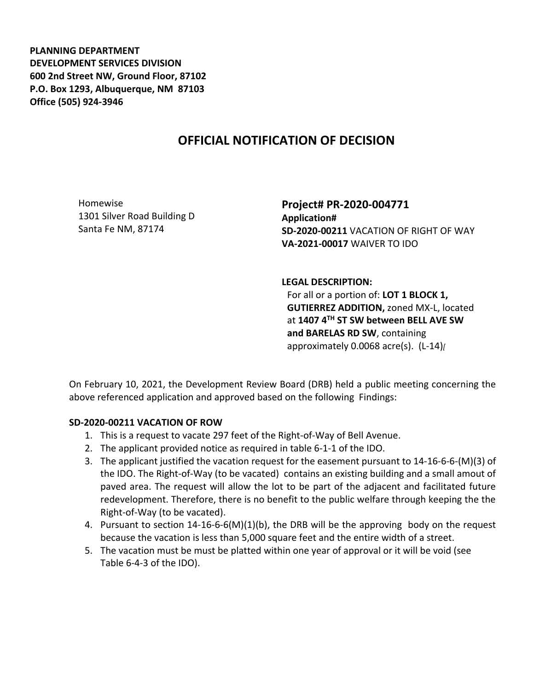**PLANNING DEPARTMENT DEVELOPMENT SERVICES DIVISION 600 2nd Street NW, Ground Floor, 87102 P.O. Box 1293, Albuquerque, NM 87103 Office (505) 924-3946** 

## **OFFICIAL NOTIFICATION OF DECISION**

Homewise 1301 Silver Road Building D Santa Fe NM, 87174

**Project# PR-2020-004771 Application# SD-2020-00211** VACATION OF RIGHT OF WAY **VA-2021-00017** WAIVER TO IDO

## **LEGAL DESCRIPTION:**

For all or a portion of: **LOT 1 BLOCK 1, GUTIERREZ ADDITION,** zoned MX-L, located at **1407 4TH ST SW between BELL AVE SW and BARELAS RD SW**, containing approximately 0.0068 acre(s). (L-14)*[*

On February 10, 2021, the Development Review Board (DRB) held a public meeting concerning the above referenced application and approved based on the following Findings:

## **SD-2020-00211 VACATION OF ROW**

- 1. This is a request to vacate 297 feet of the Right-of-Way of Bell Avenue.
- 2. The applicant provided notice as required in table 6-1-1 of the IDO.
- 3. The applicant justified the vacation request for the easement pursuant to 14-16-6-6-(M)(3) of the IDO. The Right-of-Way (to be vacated) contains an existing building and a small amout of paved area. The request will allow the lot to be part of the adjacent and facilitated future redevelopment. Therefore, there is no benefit to the public welfare through keeping the the Right-of-Way (to be vacated).
- 4. Pursuant to section 14-16-6-6(M)(1)(b), the DRB will be the approving body on the request because the vacation is less than 5,000 square feet and the entire width of a street.
- 5. The vacation must be must be platted within one year of approval or it will be void (see Table 6-4-3 of the IDO).